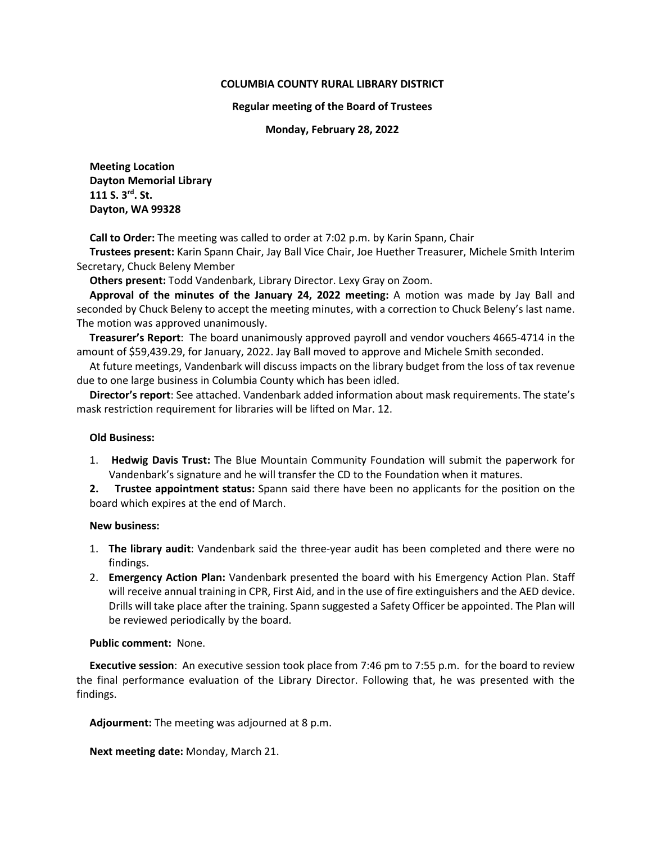# **COLUMBIA COUNTY RURAL LIBRARY DISTRICT**

### **Regular meeting of the Board of Trustees**

**Monday, February 28, 2022**

**Meeting Location Dayton Memorial Library 111 S. 3rd. St. Dayton, WA 99328**

**Call to Order:** The meeting was called to order at 7:02 p.m. by Karin Spann, Chair

**Trustees present:** Karin Spann Chair, Jay Ball Vice Chair, Joe Huether Treasurer, Michele Smith Interim Secretary, Chuck Beleny Member

**Others present:** Todd Vandenbark, Library Director. Lexy Gray on Zoom.

**Approval of the minutes of the January 24, 2022 meeting:** A motion was made by Jay Ball and seconded by Chuck Beleny to accept the meeting minutes, with a correction to Chuck Beleny's last name. The motion was approved unanimously.

**Treasurer's Report**: The board unanimously approved payroll and vendor vouchers 4665-4714 in the amount of \$59,439.29, for January, 2022. Jay Ball moved to approve and Michele Smith seconded.

At future meetings, Vandenbark will discuss impacts on the library budget from the loss of tax revenue due to one large business in Columbia County which has been idled.

**Director's report**: See attached. Vandenbark added information about mask requirements. The state's mask restriction requirement for libraries will be lifted on Mar. 12.

## **Old Business:**

- 1. **Hedwig Davis Trust:** The Blue Mountain Community Foundation will submit the paperwork for Vandenbark's signature and he will transfer the CD to the Foundation when it matures.
- **2. Trustee appointment status:** Spann said there have been no applicants for the position on the board which expires at the end of March.

## **New business:**

- 1. **The library audit**: Vandenbark said the three-year audit has been completed and there were no findings.
- 2. **Emergency Action Plan:** Vandenbark presented the board with his Emergency Action Plan. Staff will receive annual training in CPR, First Aid, and in the use of fire extinguishers and the AED device. Drills will take place after the training. Spann suggested a Safety Officer be appointed. The Plan will be reviewed periodically by the board.

## **Public comment:** None.

**Executive session**: An executive session took place from 7:46 pm to 7:55 p.m. for the board to review the final performance evaluation of the Library Director. Following that, he was presented with the findings.

**Adjourment:** The meeting was adjourned at 8 p.m.

**Next meeting date:** Monday, March 21.